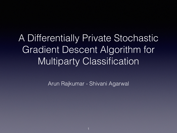#### A Differentially Private Stochastic Gradient Descent Algorithm for Multiparty Classification

Arun Rajkumar - Shivani Agarwal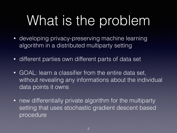# What is the problem

- developing privacy-preserving machine learning algorithm in a distributed multiparty setting
- different parties own different parts of data set
- GOAL: learn a classifier from the entire data set, without revealing any informations about the individual data points it owns
- new differentially private algorithm for the multiparty setting that uses stochastic gradient descent based procedure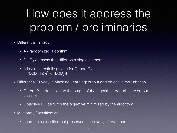## How does it address the problem / preliminaries

- Differential Privacy
	- A randomized algorithm
	- $D_1$ ,  $D_2$  datasets that differ on a single element
	- A is  $\epsilon$ -differentially private for D<sub>1</sub> and D<sub>2</sub>, if  $P[A(D_1)] \leq e$  $\bar{\epsilon}$  $\times$  P[A(D<sub>2</sub>)]
- Differential Privacy in Machine Learning: output and objective perturbation
	- Output P. : adds noise to the output of the algorithm, perturbs the output classifier
	- Objective P.: perturbs the objective minimized by the algorithm
- Multiparty Classification
	- Learning a classifier that preserves the privacy of each party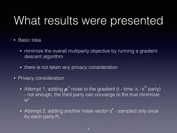#### What results were presented

- Basic Idea
	- minimize the overall multiparty objective by running a gradient descent algorithm
	- there is not taken any privacy consideration
- Privacy consideration
	- Attempt 1: adding  $\boldsymbol{\rho}_{t}^{k}$  noise to the gradient (t time, k k<sup>th</sup> party) - not enough, the third party can converge to the true minimizer  $W^*$
	- Attempt 2: adding another noise vector  $\eta^k$  sampled only once by each party  $P_k$